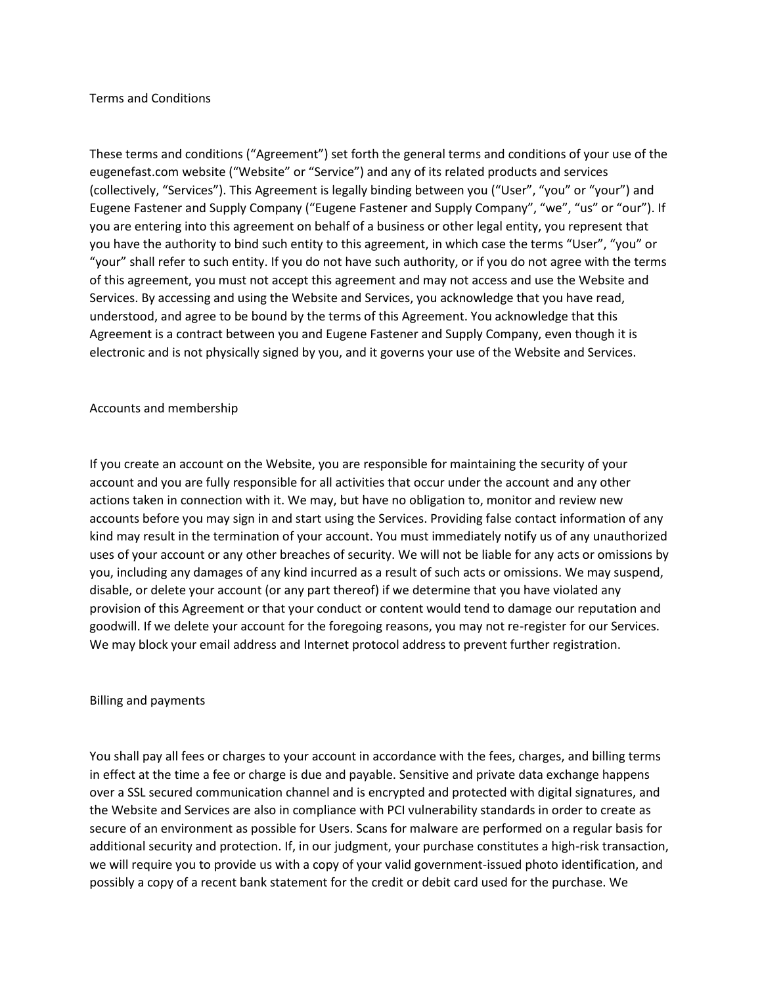### Terms and Conditions

These terms and conditions ("Agreement") set forth the general terms and conditions of your use of the eugenefast.com website ("Website" or "Service") and any of its related products and services (collectively, "Services"). This Agreement is legally binding between you ("User", "you" or "your") and Eugene Fastener and Supply Company ("Eugene Fastener and Supply Company", "we", "us" or "our"). If you are entering into this agreement on behalf of a business or other legal entity, you represent that you have the authority to bind such entity to this agreement, in which case the terms "User", "you" or "your" shall refer to such entity. If you do not have such authority, or if you do not agree with the terms of this agreement, you must not accept this agreement and may not access and use the Website and Services. By accessing and using the Website and Services, you acknowledge that you have read, understood, and agree to be bound by the terms of this Agreement. You acknowledge that this Agreement is a contract between you and Eugene Fastener and Supply Company, even though it is electronic and is not physically signed by you, and it governs your use of the Website and Services.

### Accounts and membership

If you create an account on the Website, you are responsible for maintaining the security of your account and you are fully responsible for all activities that occur under the account and any other actions taken in connection with it. We may, but have no obligation to, monitor and review new accounts before you may sign in and start using the Services. Providing false contact information of any kind may result in the termination of your account. You must immediately notify us of any unauthorized uses of your account or any other breaches of security. We will not be liable for any acts or omissions by you, including any damages of any kind incurred as a result of such acts or omissions. We may suspend, disable, or delete your account (or any part thereof) if we determine that you have violated any provision of this Agreement or that your conduct or content would tend to damage our reputation and goodwill. If we delete your account for the foregoing reasons, you may not re-register for our Services. We may block your email address and Internet protocol address to prevent further registration.

#### Billing and payments

You shall pay all fees or charges to your account in accordance with the fees, charges, and billing terms in effect at the time a fee or charge is due and payable. Sensitive and private data exchange happens over a SSL secured communication channel and is encrypted and protected with digital signatures, and the Website and Services are also in compliance with PCI vulnerability standards in order to create as secure of an environment as possible for Users. Scans for malware are performed on a regular basis for additional security and protection. If, in our judgment, your purchase constitutes a high-risk transaction, we will require you to provide us with a copy of your valid government-issued photo identification, and possibly a copy of a recent bank statement for the credit or debit card used for the purchase. We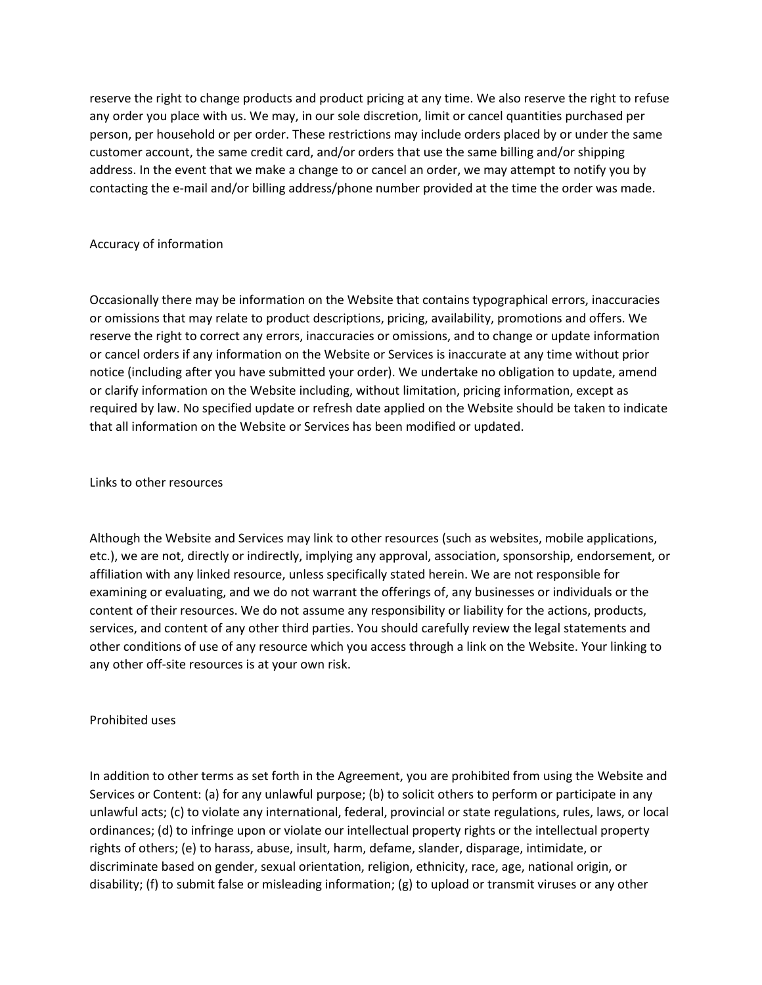reserve the right to change products and product pricing at any time. We also reserve the right to refuse any order you place with us. We may, in our sole discretion, limit or cancel quantities purchased per person, per household or per order. These restrictions may include orders placed by or under the same customer account, the same credit card, and/or orders that use the same billing and/or shipping address. In the event that we make a change to or cancel an order, we may attempt to notify you by contacting the e-mail and/or billing address/phone number provided at the time the order was made.

# Accuracy of information

Occasionally there may be information on the Website that contains typographical errors, inaccuracies or omissions that may relate to product descriptions, pricing, availability, promotions and offers. We reserve the right to correct any errors, inaccuracies or omissions, and to change or update information or cancel orders if any information on the Website or Services is inaccurate at any time without prior notice (including after you have submitted your order). We undertake no obligation to update, amend or clarify information on the Website including, without limitation, pricing information, except as required by law. No specified update or refresh date applied on the Website should be taken to indicate that all information on the Website or Services has been modified or updated.

Links to other resources

Although the Website and Services may link to other resources (such as websites, mobile applications, etc.), we are not, directly or indirectly, implying any approval, association, sponsorship, endorsement, or affiliation with any linked resource, unless specifically stated herein. We are not responsible for examining or evaluating, and we do not warrant the offerings of, any businesses or individuals or the content of their resources. We do not assume any responsibility or liability for the actions, products, services, and content of any other third parties. You should carefully review the legal statements and other conditions of use of any resource which you access through a link on the Website. Your linking to any other off-site resources is at your own risk.

# Prohibited uses

In addition to other terms as set forth in the Agreement, you are prohibited from using the Website and Services or Content: (a) for any unlawful purpose; (b) to solicit others to perform or participate in any unlawful acts; (c) to violate any international, federal, provincial or state regulations, rules, laws, or local ordinances; (d) to infringe upon or violate our intellectual property rights or the intellectual property rights of others; (e) to harass, abuse, insult, harm, defame, slander, disparage, intimidate, or discriminate based on gender, sexual orientation, religion, ethnicity, race, age, national origin, or disability; (f) to submit false or misleading information; (g) to upload or transmit viruses or any other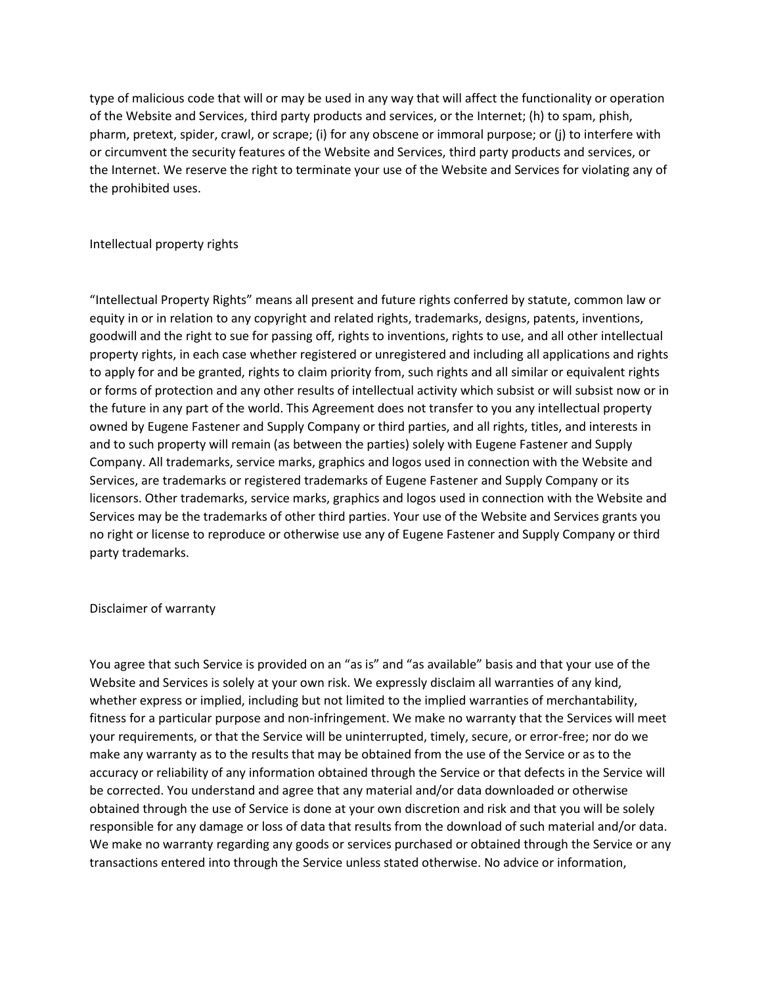type of malicious code that will or may be used in any way that will affect the functionality or operation of the Website and Services, third party products and services, or the Internet; (h) to spam, phish, pharm, pretext, spider, crawl, or scrape; (i) for any obscene or immoral purpose; or (j) to interfere with or circumvent the security features of the Website and Services, third party products and services, or the Internet. We reserve the right to terminate your use of the Website and Services for violating any of the prohibited uses.

### Intellectual property rights

"Intellectual Property Rights" means all present and future rights conferred by statute, common law or equity in or in relation to any copyright and related rights, trademarks, designs, patents, inventions, goodwill and the right to sue for passing off, rights to inventions, rights to use, and all other intellectual property rights, in each case whether registered or unregistered and including all applications and rights to apply for and be granted, rights to claim priority from, such rights and all similar or equivalent rights or forms of protection and any other results of intellectual activity which subsist or will subsist now or in the future in any part of the world. This Agreement does not transfer to you any intellectual property owned by Eugene Fastener and Supply Company or third parties, and all rights, titles, and interests in and to such property will remain (as between the parties) solely with Eugene Fastener and Supply Company. All trademarks, service marks, graphics and logos used in connection with the Website and Services, are trademarks or registered trademarks of Eugene Fastener and Supply Company or its licensors. Other trademarks, service marks, graphics and logos used in connection with the Website and Services may be the trademarks of other third parties. Your use of the Website and Services grants you no right or license to reproduce or otherwise use any of Eugene Fastener and Supply Company or third party trademarks.

#### Disclaimer of warranty

You agree that such Service is provided on an "as is" and "as available" basis and that your use of the Website and Services is solely at your own risk. We expressly disclaim all warranties of any kind, whether express or implied, including but not limited to the implied warranties of merchantability, fitness for a particular purpose and non-infringement. We make no warranty that the Services will meet your requirements, or that the Service will be uninterrupted, timely, secure, or error-free; nor do we make any warranty as to the results that may be obtained from the use of the Service or as to the accuracy or reliability of any information obtained through the Service or that defects in the Service will be corrected. You understand and agree that any material and/or data downloaded or otherwise obtained through the use of Service is done at your own discretion and risk and that you will be solely responsible for any damage or loss of data that results from the download of such material and/or data. We make no warranty regarding any goods or services purchased or obtained through the Service or any transactions entered into through the Service unless stated otherwise. No advice or information,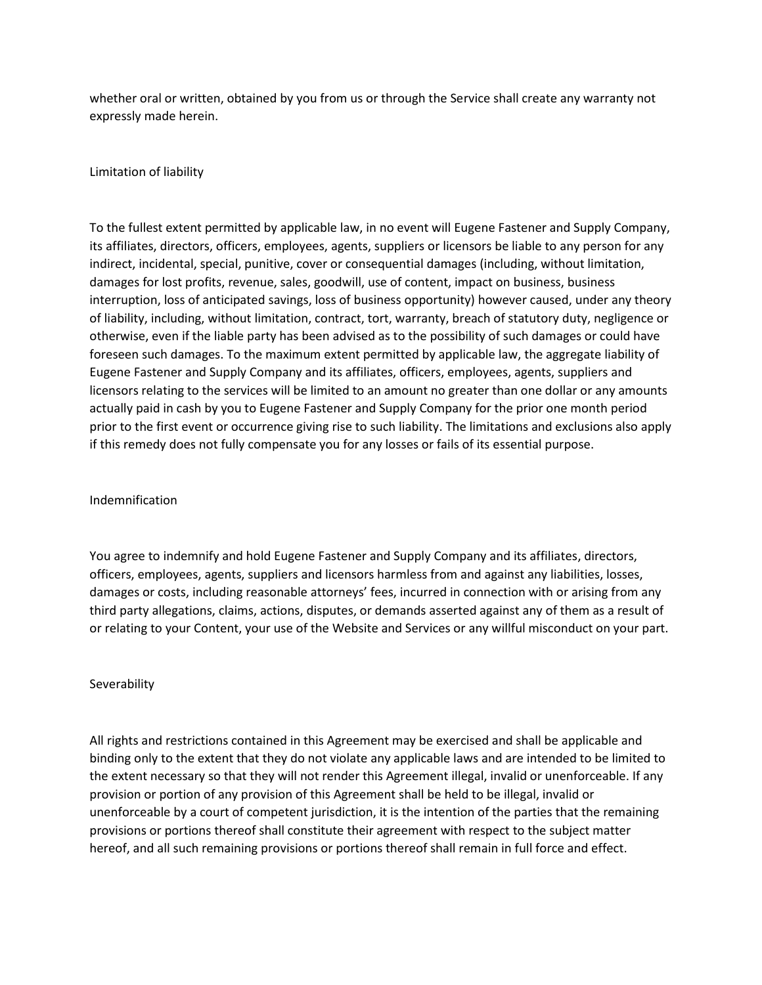whether oral or written, obtained by you from us or through the Service shall create any warranty not expressly made herein.

Limitation of liability

To the fullest extent permitted by applicable law, in no event will Eugene Fastener and Supply Company, its affiliates, directors, officers, employees, agents, suppliers or licensors be liable to any person for any indirect, incidental, special, punitive, cover or consequential damages (including, without limitation, damages for lost profits, revenue, sales, goodwill, use of content, impact on business, business interruption, loss of anticipated savings, loss of business opportunity) however caused, under any theory of liability, including, without limitation, contract, tort, warranty, breach of statutory duty, negligence or otherwise, even if the liable party has been advised as to the possibility of such damages or could have foreseen such damages. To the maximum extent permitted by applicable law, the aggregate liability of Eugene Fastener and Supply Company and its affiliates, officers, employees, agents, suppliers and licensors relating to the services will be limited to an amount no greater than one dollar or any amounts actually paid in cash by you to Eugene Fastener and Supply Company for the prior one month period prior to the first event or occurrence giving rise to such liability. The limitations and exclusions also apply if this remedy does not fully compensate you for any losses or fails of its essential purpose.

# Indemnification

You agree to indemnify and hold Eugene Fastener and Supply Company and its affiliates, directors, officers, employees, agents, suppliers and licensors harmless from and against any liabilities, losses, damages or costs, including reasonable attorneys' fees, incurred in connection with or arising from any third party allegations, claims, actions, disputes, or demands asserted against any of them as a result of or relating to your Content, your use of the Website and Services or any willful misconduct on your part.

# Severability

All rights and restrictions contained in this Agreement may be exercised and shall be applicable and binding only to the extent that they do not violate any applicable laws and are intended to be limited to the extent necessary so that they will not render this Agreement illegal, invalid or unenforceable. If any provision or portion of any provision of this Agreement shall be held to be illegal, invalid or unenforceable by a court of competent jurisdiction, it is the intention of the parties that the remaining provisions or portions thereof shall constitute their agreement with respect to the subject matter hereof, and all such remaining provisions or portions thereof shall remain in full force and effect.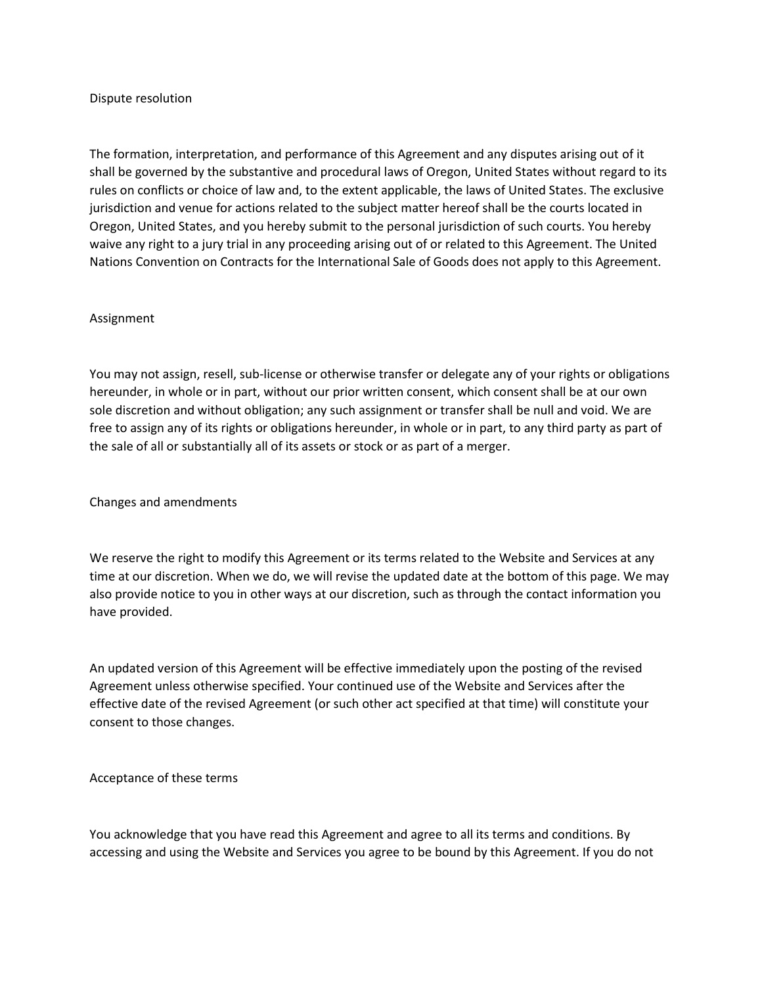### Dispute resolution

The formation, interpretation, and performance of this Agreement and any disputes arising out of it shall be governed by the substantive and procedural laws of Oregon, United States without regard to its rules on conflicts or choice of law and, to the extent applicable, the laws of United States. The exclusive jurisdiction and venue for actions related to the subject matter hereof shall be the courts located in Oregon, United States, and you hereby submit to the personal jurisdiction of such courts. You hereby waive any right to a jury trial in any proceeding arising out of or related to this Agreement. The United Nations Convention on Contracts for the International Sale of Goods does not apply to this Agreement.

### Assignment

You may not assign, resell, sub-license or otherwise transfer or delegate any of your rights or obligations hereunder, in whole or in part, without our prior written consent, which consent shall be at our own sole discretion and without obligation; any such assignment or transfer shall be null and void. We are free to assign any of its rights or obligations hereunder, in whole or in part, to any third party as part of the sale of all or substantially all of its assets or stock or as part of a merger.

Changes and amendments

We reserve the right to modify this Agreement or its terms related to the Website and Services at any time at our discretion. When we do, we will revise the updated date at the bottom of this page. We may also provide notice to you in other ways at our discretion, such as through the contact information you have provided.

An updated version of this Agreement will be effective immediately upon the posting of the revised Agreement unless otherwise specified. Your continued use of the Website and Services after the effective date of the revised Agreement (or such other act specified at that time) will constitute your consent to those changes.

Acceptance of these terms

You acknowledge that you have read this Agreement and agree to all its terms and conditions. By accessing and using the Website and Services you agree to be bound by this Agreement. If you do not